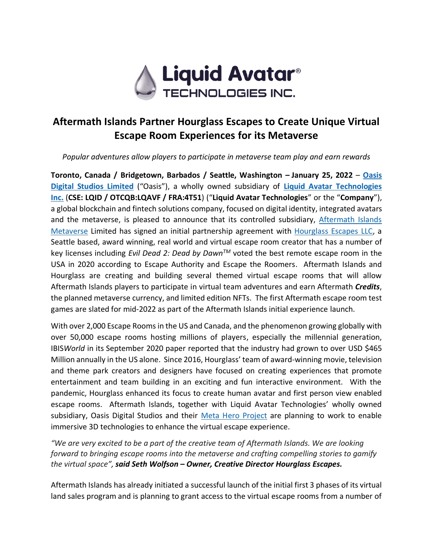

# **Aftermath Islands Partner Hourglass Escapes to Create Unique Virtual Escape Room Experiences for its Metaverse**

*Popular adventures allow players to participate in metaverse team play and earn rewards*

**Toronto, Canada / Bridgetown, Barbados / Seattle, Washington – January 25, 2022** – **[Oasis](https://oasisdigitalstudios.com/)  [Digital Studios](https://oasisdigitalstudios.com/) Limited** ("Oasis"), a wholly owned subsidiary of **[Liquid Avatar Technologies](https://liquidavatartechnologies.com/)  [Inc.](https://liquidavatartechnologies.com/)** (**CSE: LQID / OTCQB:LQAVF / FRA:4T51**) ("**Liquid Avatar Technologies**" or the "**Company**"), a global blockchain and fintech solutions company, focused on digital identity, integrated avatars and the metaverse, is pleased to announce that its controlled subsidiary, [Aftermath Islands](https://aftermathislands.com/)  [Metaverse](https://aftermathislands.com/) Limited has signed an initial partnership agreement with [Hourglass Escapes](https://hourglassescapes.com/) LLC, a Seattle based, award winning, real world and virtual escape room creator that has a number of key licenses including *Evil Dead 2: Dead by DawnTM* voted the best remote escape room in the USA in 2020 according to Escape Authority and Escape the Roomers. Aftermath Islands and Hourglass are creating and building several themed virtual escape rooms that will allow Aftermath Islands players to participate in virtual team adventures and earn Aftermath *Credits*, the planned metaverse currency, and limited edition NFTs. The first Aftermath escape room test games are slated for mid-2022 as part of the Aftermath Islands initial experience launch.

With over 2,000 Escape Rooms in the US and Canada, and the phenomenon growing globally with over 50,000 escape rooms hosting millions of players, especially the millennial generation, IBIS*World* in its September 2020 paper reported that the industry had grown to over USD \$465 Million annually in the US alone. Since 2016, Hourglass' team of award-winning movie, television and theme park creators and designers have focused on creating experiences that promote entertainment and team building in an exciting and fun interactive environment. With the pandemic, Hourglass enhanced its focus to create human avatar and first person view enabled escape rooms. Aftermath Islands, together with Liquid Avatar Technologies' wholly owned subsidiary, Oasis Digital Studios and their [Meta Hero Project](https://metaheroproject.com/) are planning to work to enable immersive 3D technologies to enhance the virtual escape experience.

*"We are very excited to be a part of the creative team of Aftermath Islands. We are looking forward to bringing escape rooms into the metaverse and crafting compelling stories to gamify the virtual space", said Seth Wolfson – Owner, Creative Director Hourglass Escapes.*

Aftermath Islands has already initiated a successful launch of the initial first 3 phases of its virtual land sales program and is planning to grant access to the virtual escape rooms from a number of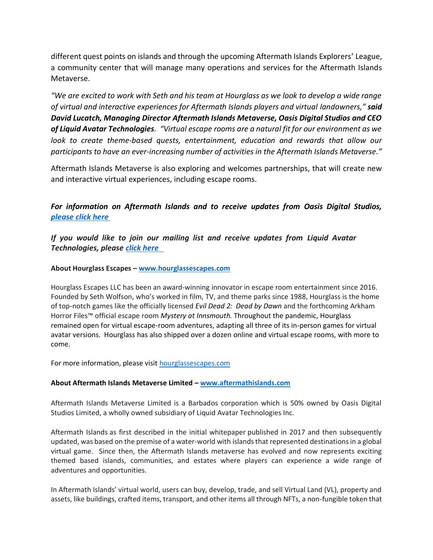different quest points on islands and through the upcoming Aftermath Islands Explorers' League, a community center that will manage many operations and services for the Aftermath Islands Metaverse.

*"We are excited to work with Seth and his team at Hourglass as we look to develop a wide range of virtual and interactive experiences for Aftermath Islands players and virtual landowners," said David Lucatch, Managing Director Aftermath Islands Metaverse, Oasis Digital Studios and CEO of Liquid Avatar Technologies. "Virtual escape rooms are a natural fit for our environment as we look to create theme-based quests, entertainment, education and rewards that allow our participants to have an ever-increasing number of activities in the Aftermath Islands Metaverse."*

Aftermath Islands Metaverse is also exploring and welcomes partnerships, that will create new and interactive virtual experiences, including escape rooms.

*For information on Aftermath Islands and to receive updates from Oasis Digital Studios, please [click here](https://share.hsforms.com/1bSgqjoO8SjmF58FU9WhPyA4rqa5)*

*If you would like to join our mailing list and receive updates from Liquid Avatar Technologies, please [click here](https://hello.liquidavatar.com/liquid-avatar-updates)* 

### **About Hourglass Escapes – [www.hourglassescapes.com](https://hourglassescapes.com/)**

Hourglass Escapes LLC has been an award-winning innovator in escape room entertainment since 2016. Founded by Seth Wolfson, who's worked in film, TV, and theme parks since 1988, Hourglass is the home of top-notch games like the officially licensed *Evil Dead 2: Dead by Dawn* and the forthcoming Arkham Horror Files™ official escape room *Mystery at Innsmouth.* Throughout the pandemic, Hourglass remained open for virtual escape-room adventures, adapting all three of its in-person games for virtual avatar versions. Hourglass has also shipped over a dozen online and virtual escape rooms, with more to come.

For more information, please visit [hourglassescapes.com](https://hourglassescapes.com/)

## **About Aftermath Islands Metaverse Limited – [www.aftermathislands.com](about:blank)**

Aftermath Islands Metaverse Limited is a Barbados corporation which is 50% owned by Oasis Digital Studios Limited, a wholly owned subsidiary of Liquid Avatar Technologies Inc.

Aftermath Islands as first described in the initial whitepaper published in 2017 and then subsequently updated, was based on the premise of a water-world with islands that represented destinations in a global virtual game. Since then, the Aftermath Islands metaverse has evolved and now represents exciting themed based islands, communities, and estates where players can experience a wide range of adventures and opportunities.

In Aftermath Islands' virtual world, users can buy, develop, trade, and sell Virtual Land (VL), property and assets, like buildings, crafted items, transport, and other items all through NFTs, a non-fungible token that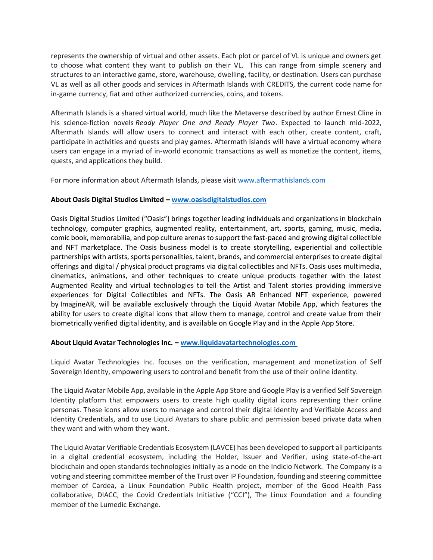represents the ownership of virtual and other assets. Each plot or parcel of VL is unique and owners get to choose what content they want to publish on their VL. This can range from simple scenery and structures to an interactive game, store, warehouse, dwelling, facility, or destination. Users can purchase VL as well as all other goods and services in Aftermath Islands with CREDITS, the current code name for in-game currency, fiat and other authorized currencies, coins, and tokens.

Aftermath Islands is a shared virtual world, much like the Metaverse described by author Ernest Cline in his science-fiction novels *Ready Player One and Ready Player Two*. Expected to launch mid-2022, Aftermath Islands will allow users to connect and interact with each other, create content, craft, participate in activities and quests and play games. Aftermath Islands will have a virtual economy where users can engage in a myriad of in-world economic transactions as well as monetize the content, items, quests, and applications they build.

For more information about Aftermath Islands, please visit [www.aftermathislands.com](http://www.aftermathislands.com/)

#### **About Oasis Digital Studios Limited – [www.oasisdigitalstudios.com](http://www.oasisdigitalstudios.com/)**

Oasis Digital Studios Limited ("Oasis") brings together leading individuals and organizations in blockchain technology, computer graphics, augmented reality, entertainment, art, sports, gaming, music, media, comic book, memorabilia, and pop culture arenas to support the fast-paced and growing digital collectible and NFT marketplace. The Oasis business model is to create storytelling, experiential and collectible partnerships with artists, sports personalities, talent, brands, and commercial enterprises to create digital offerings and digital / physical product programs via digital collectibles and NFTs. Oasis uses multimedia, cinematics, animations, and other techniques to create unique products together with the latest Augmented Reality and virtual technologies to tell the Artist and Talent stories providing immersive experiences for Digital Collectibles and NFTs. The Oasis AR Enhanced NFT experience, powered by ImagineAR, will be available exclusively through the Liquid Avatar Mobile App, which features the ability for users to create digital icons that allow them to manage, control and create value from their biometrically verified digital identity, and is available on Google Play and in the Apple App Store.

#### **About Liquid Avatar Technologies Inc. – [www.liquidavatartechnologies.com](http://www.liquidavatartechnologies.com/)**

Liquid Avatar Technologies Inc. focuses on the verification, management and monetization of Self Sovereign Identity, empowering users to control and benefit from the use of their online identity.

The Liquid Avatar Mobile App, available in the Apple App Store and Google Play is a verified Self Sovereign Identity platform that empowers users to create high quality digital icons representing their online personas. These icons allow users to manage and control their digital identity and Verifiable Access and Identity Credentials, and to use Liquid Avatars to share public and permission based private data when they want and with whom they want.

The Liquid Avatar Verifiable Credentials Ecosystem (LAVCE) has been developed to support all participants in a digital credential ecosystem, including the Holder, Issuer and Verifier, using state-of-the-art blockchain and open standards technologies initially as a node on the Indicio Network. The Company is a voting and steering committee member of the Trust over IP Foundation, founding and steering committee member of Cardea, a Linux Foundation Public Health project, member of the Good Health Pass collaborative, DIACC, the Covid Credentials Initiative ("CCI"), The Linux Foundation and a founding member of the Lumedic Exchange.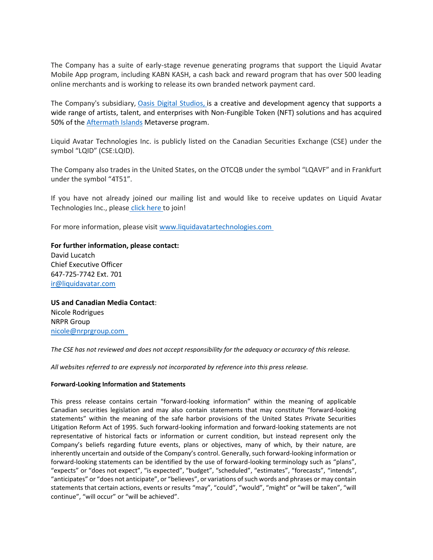The Company has a suite of early-stage revenue generating programs that support the Liquid Avatar Mobile App program, including KABN KASH, a cash back and reward program that has over 500 leading online merchants and is working to release its own branded network payment card.

The Company's subsidiary, [Oasis Digital Studios,](https://oasisdigitalstudios.com/) is a creative and development agency that supports a wide range of artists, talent, and enterprises with Non-Fungible Token (NFT) solutions and has acquired 50% of th[e Aftermath Islands](https://aftermathislands.com/) Metaverse program.

Liquid Avatar Technologies Inc. is publicly listed on the Canadian Securities Exchange (CSE) under the symbol "LQID" (CSE:LQID).

The Company also trades in the United States, on the OTCQB under the symbol "LQAVF" and in Frankfurt under the symbol "4T51".

If you have not already joined our mailing list and would like to receive updates on Liquid Avatar Technologies Inc., please [click here](https://hello.liquidavatar.com/liquid-avatar-updates) to join!

For more information, please visit [www.liquidavatartechnologies.com](http://www.liquidavatartechnologies.com/)

**For further information, please contact:** David Lucatch Chief Executive Officer 647-725-7742 Ext. 701 [ir@liquidavatar.com](mailto:ir@liquidavatar.com)

**US and Canadian Media Contact**: Nicole Rodrigues NRPR Group [nicole@nrprgroup.com](mailto:nicole@nrprgroup.com) 

*The CSE has not reviewed and does not accept responsibility for the adequacy or accuracy of this release.*

*All websites referred to are expressly not incorporated by reference into this press release.*

#### **Forward-Looking Information and Statements**

This press release contains certain "forward-looking information" within the meaning of applicable Canadian securities legislation and may also contain statements that may constitute "forward-looking statements" within the meaning of the safe harbor provisions of the United States Private Securities Litigation Reform Act of 1995. Such forward-looking information and forward-looking statements are not representative of historical facts or information or current condition, but instead represent only the Company's beliefs regarding future events, plans or objectives, many of which, by their nature, are inherently uncertain and outside of the Company's control. Generally, such forward-looking information or forward-looking statements can be identified by the use of forward-looking terminology such as "plans", "expects" or "does not expect", "is expected", "budget", "scheduled", "estimates", "forecasts", "intends", "anticipates" or "does not anticipate", or "believes", or variations of such words and phrases or may contain statements that certain actions, events or results "may", "could", "would", "might" or "will be taken", "will continue", "will occur" or "will be achieved".